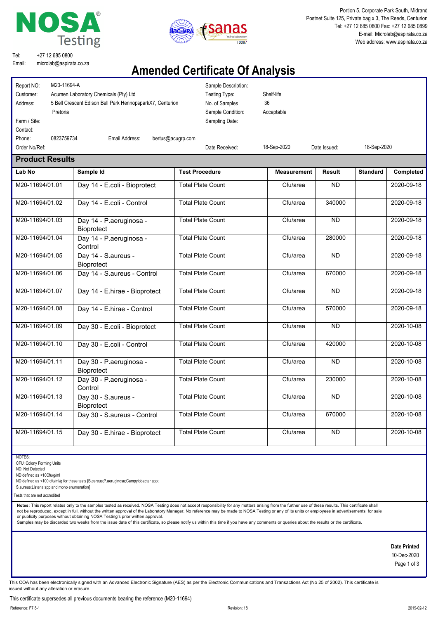



Portion 5, Corporate Park South, Midrand Postnet Suite 125, Private bag x 3, The Reeds, Centurion Tel: +27 12 685 0800 Fax: +27 12 685 0899 E-mail: Microlab@aspirata.co.za Web address: www.aspirata.co.za

Tel: Email: +27 12 685 0800 microlab@aspirata.co.za

## **Amended Certificate Of Analysis**

| Report NO:<br>M20-11694-A<br>Customer:<br>Address:<br>Pretoria<br>Farm / Site: | Acumen Laboratory Chemicals (Pty) Ltd<br>5 Bell Crescent Edison Bell Park HennopsparkX7, Centurion |                          | Sample Description:<br>Testing Type:<br>No. of Samples<br>Sample Condition:<br>Sampling Date: | Shelf-life<br>36<br>Acceptable |               |                 |            |
|--------------------------------------------------------------------------------|----------------------------------------------------------------------------------------------------|--------------------------|-----------------------------------------------------------------------------------------------|--------------------------------|---------------|-----------------|------------|
| Contact:<br>0823759734<br>Phone:                                               | Email Address:                                                                                     | bertus@acugrp.com        |                                                                                               |                                |               |                 |            |
| Order No/Ref:                                                                  |                                                                                                    |                          | Date Received:                                                                                | 18-Sep-2020                    | Date Issued:  | 18-Sep-2020     |            |
| <b>Product Results</b>                                                         |                                                                                                    |                          |                                                                                               |                                |               |                 |            |
| Lab No                                                                         | Sample Id                                                                                          | <b>Test Procedure</b>    |                                                                                               | <b>Measurement</b>             | <b>Result</b> | <b>Standard</b> | Completed  |
| M20-11694/01.01                                                                | Day 14 - E.coli - Bioprotect                                                                       | <b>Total Plate Count</b> |                                                                                               | Cfu/area                       | <b>ND</b>     |                 | 2020-09-18 |
| M20-11694/01.02                                                                | Day 14 - E.coli - Control                                                                          | <b>Total Plate Count</b> |                                                                                               | Cfu/area                       | 340000        |                 | 2020-09-18 |
| M20-11694/01.03                                                                | Day 14 - P.aeruginosa -<br>Bioprotect                                                              | <b>Total Plate Count</b> |                                                                                               | Cfu/area                       | <b>ND</b>     |                 | 2020-09-18 |
| M20-11694/01.04                                                                | Day 14 - P.aeruginosa -<br>Control                                                                 | <b>Total Plate Count</b> |                                                                                               | Cfu/area                       | 280000        |                 | 2020-09-18 |
| M20-11694/01.05                                                                | Day 14 - S.aureus -<br>Bioprotect                                                                  | <b>Total Plate Count</b> |                                                                                               | Cfu/area                       | <b>ND</b>     |                 | 2020-09-18 |
| M20-11694/01.06                                                                | Day 14 - S.aureus - Control                                                                        | <b>Total Plate Count</b> |                                                                                               | Cfu/area                       | 670000        |                 | 2020-09-18 |
| M20-11694/01.07                                                                | Day 14 - E.hirae - Bioprotect                                                                      | <b>Total Plate Count</b> |                                                                                               | Cfu/area                       | <b>ND</b>     |                 | 2020-09-18 |
| M20-11694/01.08                                                                | Day 14 - E.hirae - Control                                                                         | <b>Total Plate Count</b> |                                                                                               | Cfu/area                       | 570000        |                 | 2020-09-18 |
| M20-11694/01.09                                                                | Day 30 - E.coli - Bioprotect                                                                       | <b>Total Plate Count</b> |                                                                                               | Cfu/area                       | <b>ND</b>     |                 | 2020-10-08 |
| M20-11694/01.10                                                                | Day 30 - E.coli - Control                                                                          | <b>Total Plate Count</b> |                                                                                               | Cfu/area                       | 420000        |                 | 2020-10-08 |
| M20-11694/01.11                                                                | Day 30 - P.aeruginosa -<br><b>Bioprotect</b>                                                       | <b>Total Plate Count</b> |                                                                                               | Cfu/area                       | <b>ND</b>     |                 | 2020-10-08 |
| M20-11694/01.12                                                                | Day 30 - P.aeruginosa -<br>Control                                                                 | <b>Total Plate Count</b> |                                                                                               | Cfu/area                       | 230000        |                 | 2020-10-08 |
| M20-11694/01.13                                                                | Day 30 - S.aureus -<br><b>Bioprotect</b>                                                           | <b>Total Plate Count</b> |                                                                                               | Cfu/area                       | <b>ND</b>     |                 | 2020-10-08 |
| M20-11694/01.14                                                                | Day 30 - S.aureus - Control                                                                        |                          | <b>Total Plate Count</b>                                                                      | Cfu/area                       | 670000        |                 | 2020-10-08 |
| M20-11694/01.15                                                                | Day 30 - E.hirae - Bioprotect                                                                      |                          | <b>Total Plate Count</b>                                                                      | Cfu/area                       | <b>ND</b>     |                 | 2020-10-08 |

**NOTES** 

CFU: Colony Forming Units

ND: Not Detected

ND defined as <10Cfu/g/ml

ND defined as <100 cfu/ml/g for these tests [B.cereus;P.aeruginosa;Campylobacter spp;

S.aureus;Listeria spp and mono enumeration]

Tests that are not accredited

Notes: This report relates only to the samples tested as received. NOSA Testing does not accept responsibility for any matters arising from the further use of these results. This certificate shall not be reproduced, except in full, without the written approval of the Laboratory Manager. No reference may be made to NOSA Testing or any of its units or employees in advertisements, for sale or publicity purposes without obtaining NOSA Testing's prior written approval.<br>Samples may be discarded two weeks from the issue date of this certificate, so please notify us within this time if you have any comments or qu

#### **Date Printed**

10-Dec-2020 Page 1 of 3

This COA has been electronically signed with an Advanced Electronic Signature (AES) as per the Electronic Communications and Transactions Act (No 25 of 2002). This certificate is issued without any alteration or erasure.

This certificate supersedes all previous documents bearing the reference (M20-11694)

Reference: F7.8-1 Revision: 18 2019-02-12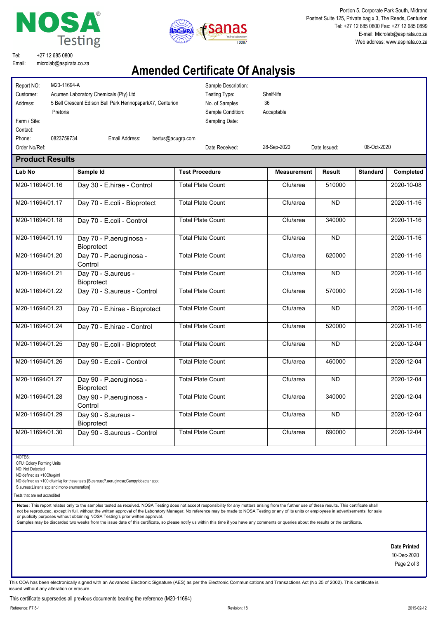



Portion 5, Corporate Park South, Midrand Postnet Suite 125, Private bag x 3, The Reeds, Centurion Tel: +27 12 685 0800 Fax: +27 12 685 0899 E-mail: Microlab@aspirata.co.za Web address: www.aspirata.co.za

Tel: Email: +27 12 685 0800 microlab@aspirata.co.za

## **Amended Certificate Of Analysis**

| Report NO:<br>M20-11694-A<br>Customer:<br>Address:<br>Pretoria<br>Farm / Site:<br>Contact: | Acumen Laboratory Chemicals (Pty) Ltd<br>5 Bell Crescent Edison Bell Park HennopsparkX7, Centurion | Testing Type:<br>No. of Samples<br>Sampling Date: | Sample Description:<br>Shelf-life<br>36<br>Acceptable<br>Sample Condition: |               |                 |            |
|--------------------------------------------------------------------------------------------|----------------------------------------------------------------------------------------------------|---------------------------------------------------|----------------------------------------------------------------------------|---------------|-----------------|------------|
| 0823759734<br>Phone:                                                                       | Email Address:                                                                                     | bertus@acugrp.com                                 |                                                                            |               |                 |            |
| Order No/Ref:                                                                              |                                                                                                    | Date Received:                                    | 28-Sep-2020                                                                | Date Issued:  | 08-Oct-2020     |            |
| <b>Product Results</b>                                                                     |                                                                                                    |                                                   |                                                                            |               |                 |            |
| Lab No                                                                                     | Sample Id                                                                                          | <b>Test Procedure</b>                             | <b>Measurement</b>                                                         | <b>Result</b> | <b>Standard</b> | Completed  |
| M20-11694/01.16                                                                            | Day 30 - E.hirae - Control                                                                         | <b>Total Plate Count</b>                          | Cfu/area                                                                   | 510000        |                 | 2020-10-08 |
| M20-11694/01.17                                                                            | Day 70 - E.coli - Bioprotect                                                                       | <b>Total Plate Count</b>                          | Cfu/area                                                                   | <b>ND</b>     |                 | 2020-11-16 |
| M20-11694/01.18                                                                            | Day 70 - E.coli - Control                                                                          | <b>Total Plate Count</b>                          | Cfu/area                                                                   | 340000        |                 | 2020-11-16 |
| M20-11694/01.19                                                                            | Day 70 - P.aeruginosa -<br>Bioprotect                                                              | <b>Total Plate Count</b>                          | Cfu/area                                                                   | ND            |                 | 2020-11-16 |
| M20-11694/01.20                                                                            | Day 70 - P.aeruginosa -<br>Control                                                                 | <b>Total Plate Count</b>                          | Cfu/area                                                                   | 620000        |                 | 2020-11-16 |
| M20-11694/01.21                                                                            | Day 70 - S.aureus -<br><b>Bioprotect</b>                                                           | <b>Total Plate Count</b>                          | Cfu/area                                                                   | <b>ND</b>     |                 | 2020-11-16 |
| M20-11694/01.22                                                                            | Day 70 - S.aureus - Control                                                                        | <b>Total Plate Count</b>                          | Cfu/area                                                                   | 570000        |                 | 2020-11-16 |
| M20-11694/01.23                                                                            | Day 70 - E.hirae - Bioprotect                                                                      | <b>Total Plate Count</b>                          | Cfu/area                                                                   | <b>ND</b>     |                 | 2020-11-16 |
| M20-11694/01.24                                                                            | Day 70 - E.hirae - Control                                                                         | <b>Total Plate Count</b>                          | Cfu/area                                                                   | 520000        |                 | 2020-11-16 |
| M20-11694/01.25                                                                            | Day 90 - E.coli - Bioprotect                                                                       | <b>Total Plate Count</b>                          | Cfu/area                                                                   | <b>ND</b>     |                 | 2020-12-04 |
| M20-11694/01.26                                                                            | Day 90 - E.coli - Control                                                                          | <b>Total Plate Count</b>                          | Cfu/area                                                                   | 460000        |                 | 2020-12-04 |
| M20-11694/01.27                                                                            | Day 90 - P.aeruginosa -<br>Bioprotect                                                              | <b>Total Plate Count</b>                          | Cfu/area                                                                   | <b>ND</b>     |                 | 2020-12-04 |
| M20-11694/01.28                                                                            | Day 90 - P.aeruginosa -<br>Control                                                                 | <b>Total Plate Count</b>                          | Cfu/area                                                                   | 340000        |                 | 2020-12-04 |
| M20-11694/01.29                                                                            | Day 90 - S.aureus -<br>Bioprotect                                                                  | <b>Total Plate Count</b>                          | Cfu/area                                                                   | <b>ND</b>     |                 | 2020-12-04 |
| M20-11694/01.30                                                                            | Day 90 - S.aureus - Control                                                                        | <b>Total Plate Count</b>                          | Cfu/area                                                                   | 690000        |                 | 2020-12-04 |

**NOTES** 

CFU: Colony Forming Units

ND: Not Detected

ND defined as <10Cfu/g/ml

ND defined as <100 cfu/ml/g for these tests [B.cereus;P.aeruginosa;Campylobacter spp;

S.aureus;Listeria spp and mono enumeration]

Tests that are not accredited

Notes: This report relates only to the samples tested as received. NOSA Testing does not accept responsibility for any matters arising from the further use of these results. This certificate shall not be reproduced, except in full, without the written approval of the Laboratory Manager. No reference may be made to NOSA Testing or any of its units or employees in advertisements, for sale

or publicity purposes without obtaining NOSA Testing's prior written approval.<br>Samples may be discarded two weeks from the issue date of this certificate, so please notify us within this time if you have any comments or qu

#### **Date Printed**

10-Dec-2020 Page 2 of 3

This COA has been electronically signed with an Advanced Electronic Signature (AES) as per the Electronic Communications and Transactions Act (No 25 of 2002). This certificate is issued without any alteration or erasure.

This certificate supersedes all previous documents bearing the reference (M20-11694)